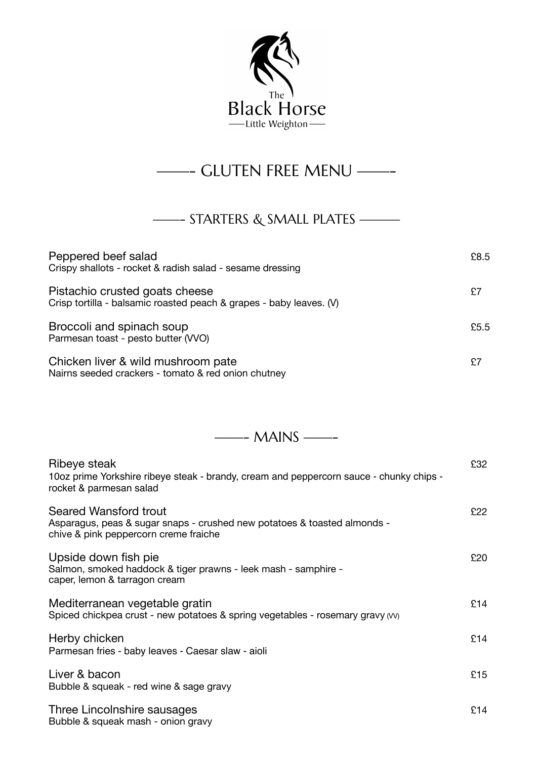

## ——- GLUTEN FREE MENU ——-

## ——- STARTERS & SMALL PLATES ———

| Peppered beef salad<br>Crispy shallots - rocket & radish salad - sesame dressing                      | £8.5 |
|-------------------------------------------------------------------------------------------------------|------|
| Pistachio crusted goats cheese<br>Crisp tortilla - balsamic roasted peach & grapes - baby leaves. (V) | £7   |
| Broccoli and spinach soup<br>Parmesan toast - pesto butter (VVO)                                      | £5.5 |
| Chicken liver & wild mushroom pate<br>Nairns seeded crackers - tomato & red onion chutney             | £7   |

——- MAINS ——-

| Ribeye steak<br>10oz prime Yorkshire ribeye steak - brandy, cream and peppercorn sauce - chunky chips -<br>rocket & parmesan salad                | £32 |
|---------------------------------------------------------------------------------------------------------------------------------------------------|-----|
| <b>Seared Wansford trout</b><br>Asparagus, peas & sugar snaps - crushed new potatoes & toasted almonds -<br>chive & pink peppercorn creme fraiche | £22 |
| Upside down fish pie<br>Salmon, smoked haddock & tiger prawns - leek mash - samphire -<br>caper, lemon & tarragon cream                           | £20 |
| Mediterranean vegetable gratin<br>Spiced chickpea crust - new potatoes & spring vegetables - rosemary gravy (vv)                                  | £14 |
| Herby chicken<br>Parmesan fries - baby leaves - Caesar slaw - aioli                                                                               | £14 |
| Liver & bacon<br>Bubble & squeak - red wine & sage gravy                                                                                          | £15 |
| Three Lincolnshire sausages<br>Bubble & squeak mash - onion gravy                                                                                 | £14 |